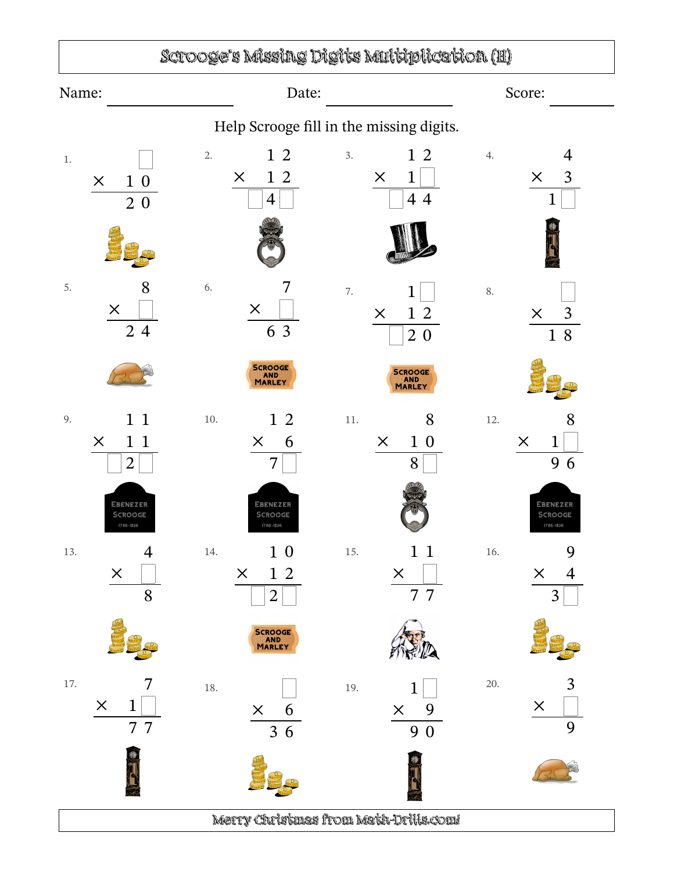